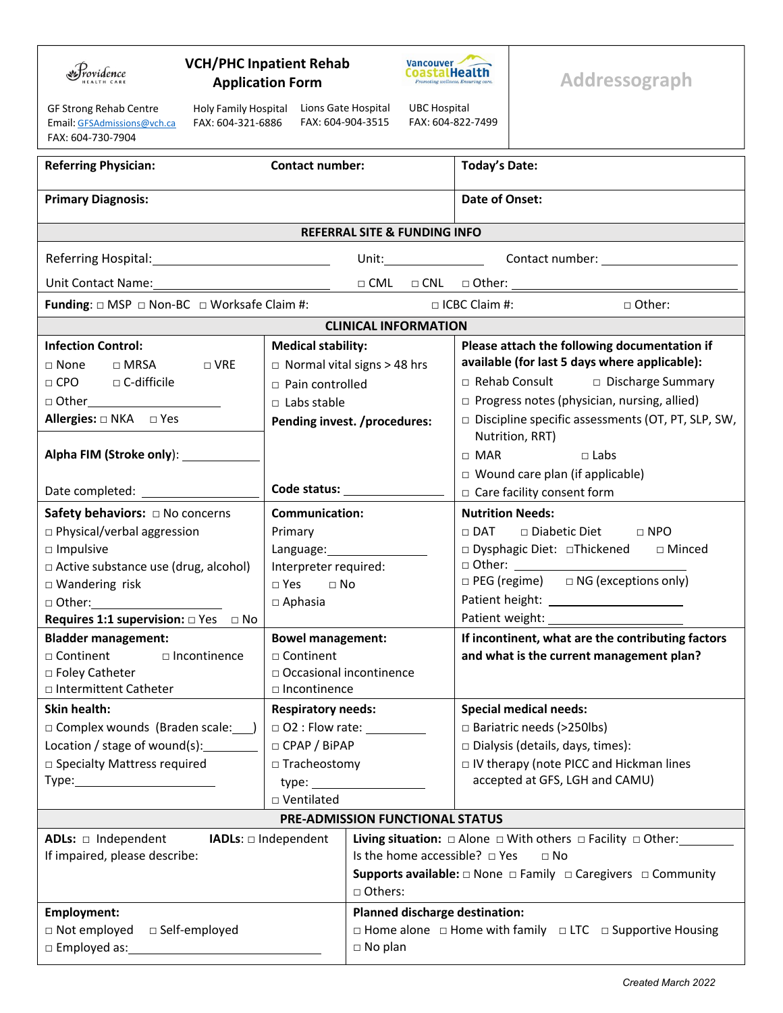| rovidence                                                                                                                                                                                                                                                                                                                                                                                                             | <b>VCH/PHC Inpatient Rehab</b><br>Vancouver<br>CoastalHealth<br><b>Application Form</b><br><b>Promoting wellness, Ensuring calls</b> |                      |                                           |                                                                             | Addressograph                                |  |  |  |  |
|-----------------------------------------------------------------------------------------------------------------------------------------------------------------------------------------------------------------------------------------------------------------------------------------------------------------------------------------------------------------------------------------------------------------------|--------------------------------------------------------------------------------------------------------------------------------------|----------------------|-------------------------------------------|-----------------------------------------------------------------------------|----------------------------------------------|--|--|--|--|
| Lions Gate Hospital<br><b>UBC Hospital</b><br>GF Strong Rehab Centre<br>Holy Family Hospital<br>FAX: 604-904-3515<br>FAX: 604-822-7499<br>FAX: 604-321-6886<br>Email: GFSAdmissions@vch.ca<br>FAX: 604-730-7904                                                                                                                                                                                                       |                                                                                                                                      |                      |                                           |                                                                             |                                              |  |  |  |  |
| <b>Contact number:</b><br><b>Referring Physician:</b>                                                                                                                                                                                                                                                                                                                                                                 |                                                                                                                                      |                      |                                           | <b>Today's Date:</b>                                                        |                                              |  |  |  |  |
| <b>Primary Diagnosis:</b>                                                                                                                                                                                                                                                                                                                                                                                             |                                                                                                                                      |                      |                                           | Date of Onset:                                                              |                                              |  |  |  |  |
| <b>REFERRAL SITE &amp; FUNDING INFO</b>                                                                                                                                                                                                                                                                                                                                                                               |                                                                                                                                      |                      |                                           |                                                                             |                                              |  |  |  |  |
| Unit: Contact number: Contact number:                                                                                                                                                                                                                                                                                                                                                                                 |                                                                                                                                      |                      |                                           |                                                                             |                                              |  |  |  |  |
| $\begin{picture}(180,10) \put(0,0){\line(1,0){100}} \put(15,0){\line(1,0){100}} \put(15,0){\line(1,0){100}} \put(15,0){\line(1,0){100}} \put(15,0){\line(1,0){100}} \put(15,0){\line(1,0){100}} \put(15,0){\line(1,0){100}} \put(15,0){\line(1,0){100}} \put(15,0){\line(1,0){100}} \put(15,0){\line(1,0){100}} \put(15,0){\line(1,0){100}}$<br>Unit Contact Name:<br><u> 1980 - Johann Barnett, fransk politik (</u> |                                                                                                                                      |                      |                                           |                                                                             |                                              |  |  |  |  |
| <b>Funding:</b> $\Box$ MSP $\Box$ Non-BC $\Box$ Worksafe Claim #:                                                                                                                                                                                                                                                                                                                                                     |                                                                                                                                      | $\Box$ ICBC Claim #: |                                           |                                                                             | □ Other:                                     |  |  |  |  |
| <b>CLINICAL INFORMATION</b>                                                                                                                                                                                                                                                                                                                                                                                           |                                                                                                                                      |                      |                                           |                                                                             |                                              |  |  |  |  |
| <b>Infection Control:</b>                                                                                                                                                                                                                                                                                                                                                                                             | <b>Medical stability:</b>                                                                                                            |                      |                                           |                                                                             | Please attach the following documentation if |  |  |  |  |
| $\sqcap$ MRSA<br>$\square$ VRE<br>$\Box$ None                                                                                                                                                                                                                                                                                                                                                                         | $\Box$ Normal vital signs > 48 hrs                                                                                                   |                      |                                           | available (for last 5 days where applicable):                               |                                              |  |  |  |  |
| $\Box$ CPO $\Box$ C-difficile                                                                                                                                                                                                                                                                                                                                                                                         | $\Box$ Pain controlled                                                                                                               |                      |                                           | □ Rehab Consult □ Discharge Summary                                         |                                              |  |  |  |  |
| □ Other_______________________<br>□ Labs stable                                                                                                                                                                                                                                                                                                                                                                       |                                                                                                                                      |                      |                                           | $\Box$ Progress notes (physician, nursing, allied)                          |                                              |  |  |  |  |
| Allergies: $\Box$ NKA $\Box$ Yes                                                                                                                                                                                                                                                                                                                                                                                      | Pending invest. /procedures:                                                                                                         |                      |                                           | $\Box$ Discipline specific assessments (OT, PT, SLP, SW,<br>Nutrition, RRT) |                                              |  |  |  |  |
| Alpha FIM (Stroke only): __________                                                                                                                                                                                                                                                                                                                                                                                   |                                                                                                                                      |                      |                                           | $\Box$ MAR                                                                  | $\Box$ Labs                                  |  |  |  |  |
|                                                                                                                                                                                                                                                                                                                                                                                                                       |                                                                                                                                      |                      |                                           | $\Box$ Wound care plan (if applicable)                                      |                                              |  |  |  |  |
|                                                                                                                                                                                                                                                                                                                                                                                                                       |                                                                                                                                      |                      |                                           | □ Care facility consent form                                                |                                              |  |  |  |  |
| <b>Communication:</b>                                                                                                                                                                                                                                                                                                                                                                                                 |                                                                                                                                      |                      |                                           | <b>Nutrition Needs:</b>                                                     |                                              |  |  |  |  |
| □ Physical/verbal aggression                                                                                                                                                                                                                                                                                                                                                                                          | Primary                                                                                                                              |                      |                                           | □ DAT □ Diabetic Diet □ NPO                                                 |                                              |  |  |  |  |
| $\square$ Impulsive                                                                                                                                                                                                                                                                                                                                                                                                   | Language: 1999                                                                                                                       |                      |                                           | □ Dysphagic Diet: □Thickened □ Minced                                       |                                              |  |  |  |  |
| □ Active substance use (drug, alcohol)                                                                                                                                                                                                                                                                                                                                                                                | Interpreter required:                                                                                                                |                      |                                           |                                                                             | □ Other: _________________                   |  |  |  |  |
| □ Wandering risk<br>$\Box$ Yes $\Box$ No                                                                                                                                                                                                                                                                                                                                                                              |                                                                                                                                      |                      |                                           | $\Box$ PEG (regime) $\Box$ NG (exceptions only)                             |                                              |  |  |  |  |
| $\Box$ Aphasia<br>$\Box$ Other: ________________________                                                                                                                                                                                                                                                                                                                                                              |                                                                                                                                      |                      |                                           |                                                                             |                                              |  |  |  |  |
| Requires 1:1 supervision: $\square$ Yes $\square$ No                                                                                                                                                                                                                                                                                                                                                                  |                                                                                                                                      |                      |                                           | Patient weight:                                                             |                                              |  |  |  |  |
| <b>Bladder management:</b>                                                                                                                                                                                                                                                                                                                                                                                            | <b>Bowel management:</b>                                                                                                             |                      |                                           | If incontinent, what are the contributing factors                           |                                              |  |  |  |  |
| □ Continent<br>$\square$ Incontinence                                                                                                                                                                                                                                                                                                                                                                                 | □ Continent                                                                                                                          |                      |                                           | and what is the current management plan?                                    |                                              |  |  |  |  |
| □ Foley Catheter<br>□ Intermittent Catheter                                                                                                                                                                                                                                                                                                                                                                           | □ Occasional incontinence<br>□ Incontinence                                                                                          |                      |                                           |                                                                             |                                              |  |  |  |  |
| <b>Skin health:</b><br><b>Respiratory needs:</b>                                                                                                                                                                                                                                                                                                                                                                      |                                                                                                                                      |                      |                                           |                                                                             | <b>Special medical needs:</b>                |  |  |  |  |
| □ Complex wounds (Braden scale: ___ )                                                                                                                                                                                                                                                                                                                                                                                 | $\Box$ O2 : Flow rate:                                                                                                               |                      |                                           | □ Bariatric needs (>250lbs)                                                 |                                              |  |  |  |  |
| Location / stage of wound(s):                                                                                                                                                                                                                                                                                                                                                                                         | □ CPAP / BiPAP                                                                                                                       |                      |                                           | Dialysis (details, days, times):                                            |                                              |  |  |  |  |
| □ Specialty Mattress required                                                                                                                                                                                                                                                                                                                                                                                         | $\Box$ Tracheostomy                                                                                                                  |                      | □ IV therapy (note PICC and Hickman lines |                                                                             |                                              |  |  |  |  |
| Type:___________________________                                                                                                                                                                                                                                                                                                                                                                                      |                                                                                                                                      |                      | accepted at GFS, LGH and CAMU)            |                                                                             |                                              |  |  |  |  |
|                                                                                                                                                                                                                                                                                                                                                                                                                       | □ Ventilated                                                                                                                         |                      |                                           |                                                                             |                                              |  |  |  |  |
| PRE-ADMISSION FUNCTIONAL STATUS                                                                                                                                                                                                                                                                                                                                                                                       |                                                                                                                                      |                      |                                           |                                                                             |                                              |  |  |  |  |
| ADLs: $\Box$ Independent<br>Living situation: $\Box$ Alone $\Box$ With others $\Box$ Facility $\Box$ Other:<br><b>IADLs:</b> $\Box$ Independent<br>Is the home accessible? $\Box$ Yes<br>If impaired, please describe:<br>$\Box$ No                                                                                                                                                                                   |                                                                                                                                      |                      |                                           |                                                                             |                                              |  |  |  |  |
|                                                                                                                                                                                                                                                                                                                                                                                                                       | <b>Supports available:</b> $\Box$ None $\Box$ Family $\Box$ Caregivers $\Box$ Community<br>□ Others:                                 |                      |                                           |                                                                             |                                              |  |  |  |  |
| <b>Employment:</b>                                                                                                                                                                                                                                                                                                                                                                                                    | Planned discharge destination:                                                                                                       |                      |                                           |                                                                             |                                              |  |  |  |  |
| □ Not employed<br>□ Self-employed                                                                                                                                                                                                                                                                                                                                                                                     | $\Box$ Home alone $\Box$ Home with family $\Box$ LTC $\Box$ Supportive Housing                                                       |                      |                                           |                                                                             |                                              |  |  |  |  |
| □ Employed as:                                                                                                                                                                                                                                                                                                                                                                                                        | $\Box$ No plan                                                                                                                       |                      |                                           |                                                                             |                                              |  |  |  |  |